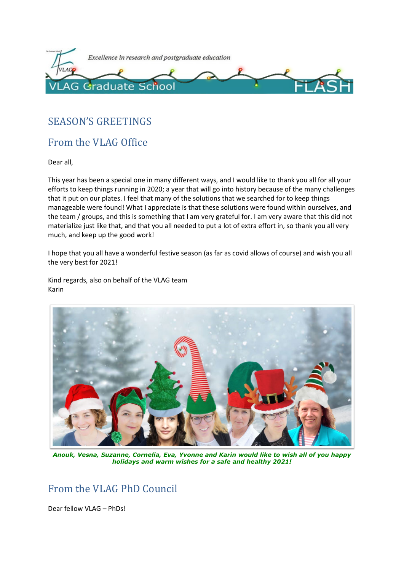

## SEASON'S GREETINGS

## From the VLAG Office

Dear all,

This year has been a special one in many different ways, and I would like to thank you all for all your efforts to keep things running in 2020; a year that will go into history because of the many challenges that it put on our plates. I feel that many of the solutions that we searched for to keep things manageable were found! What I appreciate is that these solutions were found within ourselves, and the team / groups, and this is something that I am very grateful for. I am very aware that this did not materialize just like that, and that you all needed to put a lot of extra effort in, so thank you all very much, and keep up the good work!

I hope that you all have a wonderful festive season (as far as covid allows of course) and wish you all the very best for 2021!

Kind regards, also on behalf of the VLAG team Karin



*Anouk, Vesna, Suzanne, Cornelia, Eva, Yvonne and Karin would like to wish all of you happy holidays and warm wishes for a safe and healthy 2021!*

## From the VLAG PhD Council

Dear fellow VLAG – PhDs!